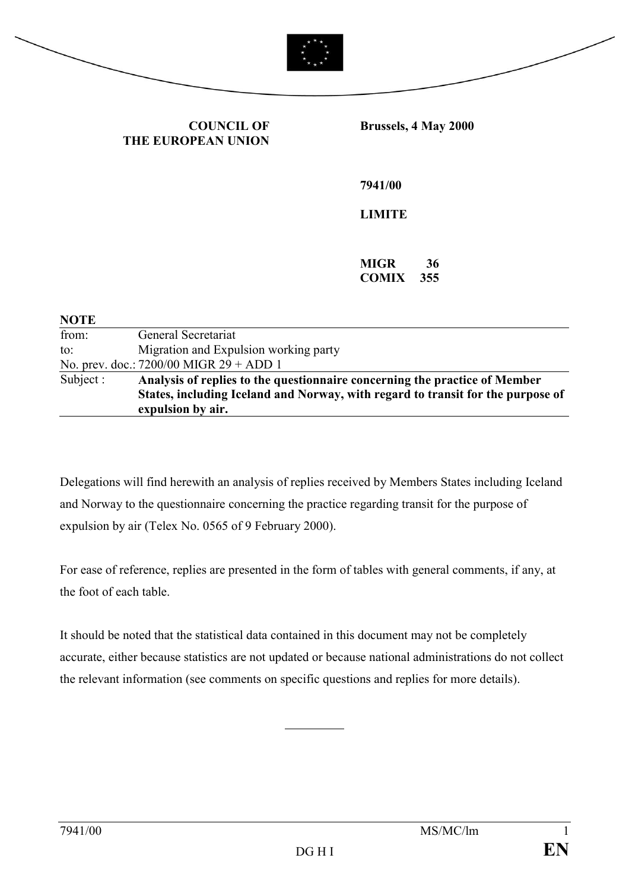



**COUNCIL OF THE EUROPEAN UNION** **Brussels, 4 May 2000**

**7941/00**

**LIMITE**

**MIGR 36 COMIX 355**

| <b>NOTE</b> |                                                                                                      |
|-------------|------------------------------------------------------------------------------------------------------|
| from:       | General Secretariat                                                                                  |
| to:         | Migration and Expulsion working party                                                                |
|             | No. prev. doc.: 7200/00 MIGR 29 + ADD 1                                                              |
| Subject :   | Analysis of replies to the questionnaire concerning the practice of Member                           |
|             | States, including Iceland and Norway, with regard to transit for the purpose of<br>expulsion by air. |
|             |                                                                                                      |

Delegations will find herewith an analysis of replies received by Members States including Iceland and Norway to the questionnaire concerning the practice regarding transit for the purpose of expulsion by air (Telex No. 0565 of 9 February 2000).

For ease of reference, replies are presented in the form of tables with general comments, if any, at the foot of each table.

It should be noted that the statistical data contained in this document may not be completely accurate, either because statistics are not updated or because national administrations do not collect the relevant information (see comments on specific questions and replies for more details).

 $\overline{a}$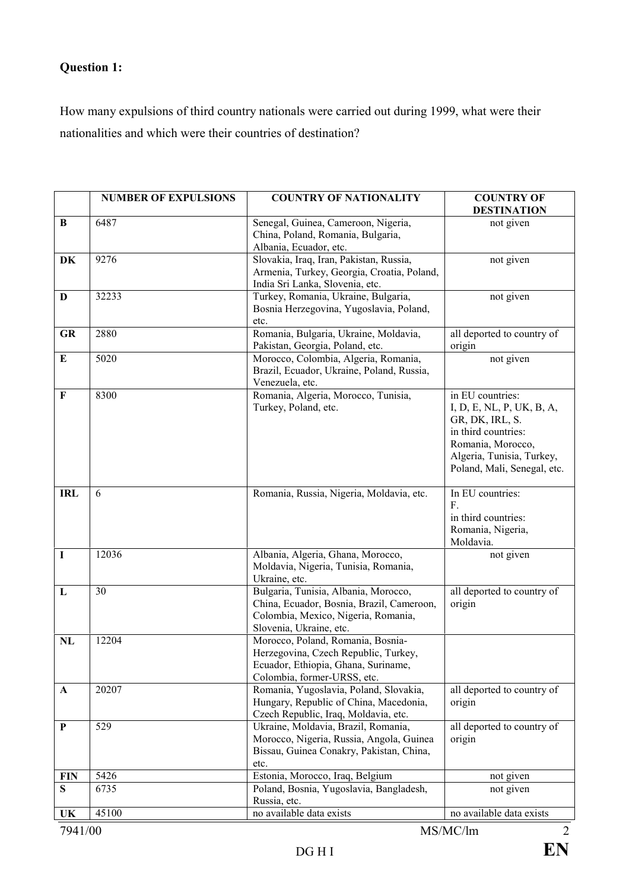## **Question 1:**

How many expulsions of third country nationals were carried out during 1999, what were their nationalities and which were their countries of destination?

|             | <b>NUMBER OF EXPULSIONS</b> | <b>COUNTRY OF NATIONALITY</b>                                                                                                                       | <b>COUNTRY OF</b><br><b>DESTINATION</b>                                                                                                                                  |
|-------------|-----------------------------|-----------------------------------------------------------------------------------------------------------------------------------------------------|--------------------------------------------------------------------------------------------------------------------------------------------------------------------------|
| B           | 6487                        | Senegal, Guinea, Cameroon, Nigeria,<br>China, Poland, Romania, Bulgaria,<br>Albania, Ecuador, etc.                                                  | not given                                                                                                                                                                |
| DK          | 9276                        | Slovakia, Iraq, Iran, Pakistan, Russia,<br>Armenia, Turkey, Georgia, Croatia, Poland,<br>India Sri Lanka, Slovenia, etc.                            | not given                                                                                                                                                                |
| D           | 32233                       | Turkey, Romania, Ukraine, Bulgaria,<br>Bosnia Herzegovina, Yugoslavia, Poland,<br>etc.                                                              | not given                                                                                                                                                                |
| <b>GR</b>   | 2880                        | Romania, Bulgaria, Ukraine, Moldavia,<br>Pakistan, Georgia, Poland, etc.                                                                            | all deported to country of<br>origin                                                                                                                                     |
| E           | 5020                        | Morocco, Colombia, Algeria, Romania,<br>Brazil, Ecuador, Ukraine, Poland, Russia,<br>Venezuela, etc.                                                | not given                                                                                                                                                                |
| F           | 8300                        | Romania, Algeria, Morocco, Tunisia,<br>Turkey, Poland, etc.                                                                                         | in EU countries:<br>I, D, E, NL, P, UK, B, A,<br>GR, DK, IRL, S.<br>in third countries:<br>Romania, Morocco,<br>Algeria, Tunisia, Turkey,<br>Poland, Mali, Senegal, etc. |
| <b>IRL</b>  | 6                           | Romania, Russia, Nigeria, Moldavia, etc.                                                                                                            | In EU countries:<br>F.<br>in third countries:<br>Romania, Nigeria,<br>Moldavia.                                                                                          |
| $\mathbf I$ | 12036                       | Albania, Algeria, Ghana, Morocco,<br>Moldavia, Nigeria, Tunisia, Romania,<br>Ukraine, etc.                                                          | not given                                                                                                                                                                |
| L           | 30                          | Bulgaria, Tunisia, Albania, Morocco,<br>China, Ecuador, Bosnia, Brazil, Cameroon,<br>Colombia, Mexico, Nigeria, Romania,<br>Slovenia, Ukraine, etc. | all deported to country of<br>origin                                                                                                                                     |
| NL          | 12204                       | Morocco, Poland, Romania, Bosnia-<br>Herzegovina, Czech Republic, Turkey,<br>Ecuador, Ethiopia, Ghana, Suriname,<br>Colombia, former-URSS, etc.     |                                                                                                                                                                          |
| A           | 20207                       | Romania, Yugoslavia, Poland, Slovakia,<br>Hungary, Republic of China, Macedonia,<br>Czech Republic, Iraq, Moldavia, etc.                            | all deported to country of<br>origin                                                                                                                                     |
| P           | 529                         | Ukraine, Moldavia, Brazil, Romania,<br>Morocco, Nigeria, Russia, Angola, Guinea<br>Bissau, Guinea Conakry, Pakistan, China,<br>etc.                 | all deported to country of<br>origin                                                                                                                                     |
| <b>FIN</b>  | 5426                        | Estonia, Morocco, Iraq, Belgium                                                                                                                     | not given                                                                                                                                                                |
| S           | 6735                        | Poland, Bosnia, Yugoslavia, Bangladesh,<br>Russia, etc.                                                                                             | not given                                                                                                                                                                |
| UK          | 45100                       | no available data exists                                                                                                                            | no available data exists                                                                                                                                                 |
| 7941/00     |                             |                                                                                                                                                     | MS/MC/lm<br>$\overline{2}$                                                                                                                                               |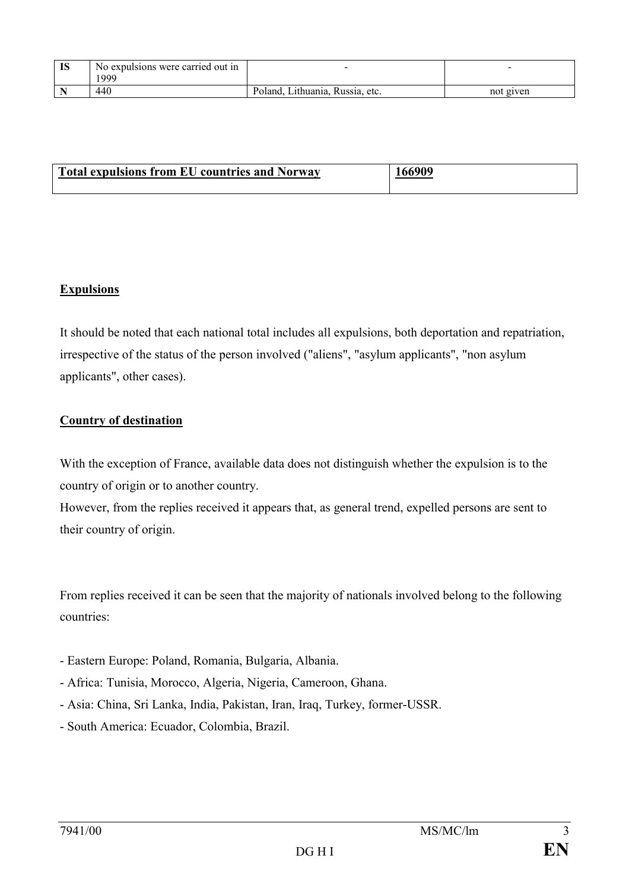| <b>TC</b><br>10 | No expulsions were carried out in<br>1999 |                                          |           |
|-----------------|-------------------------------------------|------------------------------------------|-----------|
|                 | 440                                       | Lithuania,<br>Russia.<br>Poland.<br>etc. | not given |

| <b>Total expulsions from EU countries and Norway</b> | 166909 |
|------------------------------------------------------|--------|
|                                                      |        |

#### **Expulsions**

It should be noted that each national total includes all expulsions, both deportation and repatriation, irrespective of the status of the person involved ("aliens", "asylum applicants", "non asylum applicants", other cases).

#### **Country of destination**

With the exception of France, available data does not distinguish whether the expulsion is to the country of origin or to another country.

However, from the replies received it appears that, as general trend, expelled persons are sent to their country of origin.

From replies received it can be seen that the majority of nationals involved belong to the following countries:

- Eastern Europe: Poland, Romania, Bulgaria, Albania.
- Africa: Tunisia, Morocco, Algeria, Nigeria, Cameroon, Ghana.
- Asia: China, Sri Lanka, India, Pakistan, Iran, Iraq, Turkey, former-USSR.
- South America: Ecuador, Colombia, Brazil.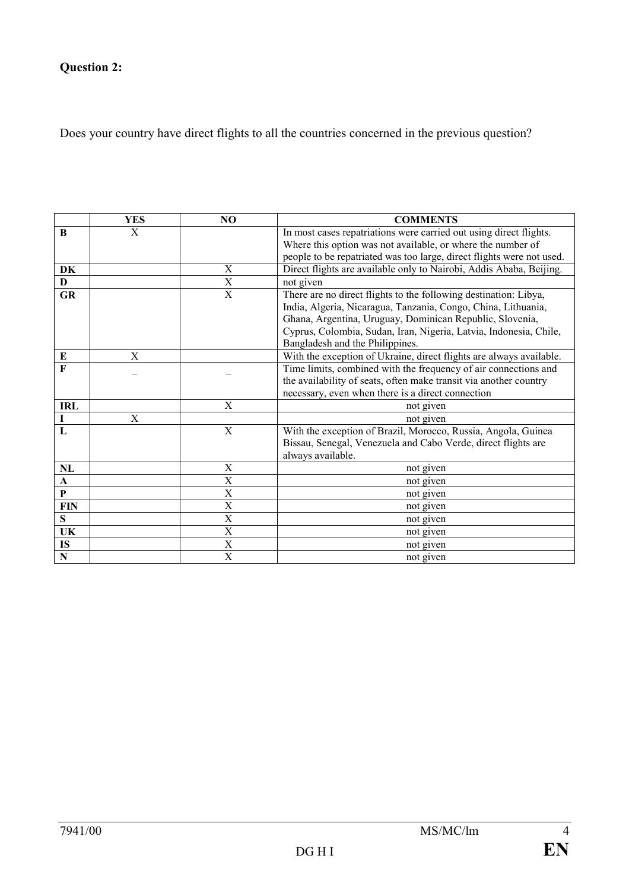# **Question 2:**

Does your country have direct flights to all the countries concerned in the previous question?

|              | <b>YES</b> | N <sub>O</sub>          | <b>COMMENTS</b>                                                                                                                   |
|--------------|------------|-------------------------|-----------------------------------------------------------------------------------------------------------------------------------|
| B            | X          |                         | In most cases repatriations were carried out using direct flights.                                                                |
|              |            |                         | Where this option was not available, or where the number of                                                                       |
|              |            |                         | people to be repatriated was too large, direct flights were not used.                                                             |
| DK           |            | $\mathbf X$             | Direct flights are available only to Nairobi, Addis Ababa, Beijing.                                                               |
| $\mathbf{D}$ |            | X                       | not given                                                                                                                         |
| <b>GR</b>    |            | $\mathbf X$             | There are no direct flights to the following destination: Libya,<br>India, Algeria, Nicaragua, Tanzania, Congo, China, Lithuania, |
|              |            |                         | Ghana, Argentina, Uruguay, Dominican Republic, Slovenia,                                                                          |
|              |            |                         | Cyprus, Colombia, Sudan, Iran, Nigeria, Latvia, Indonesia, Chile,                                                                 |
|              |            |                         | Bangladesh and the Philippines.                                                                                                   |
| E            | X          |                         | With the exception of Ukraine, direct flights are always available.                                                               |
| F            |            |                         | Time limits, combined with the frequency of air connections and                                                                   |
|              |            |                         | the availability of seats, often make transit via another country                                                                 |
|              |            |                         | necessary, even when there is a direct connection                                                                                 |
| <b>IRL</b>   |            | $\mathbf X$             | not given                                                                                                                         |
| $\mathbf I$  | X          |                         | not given                                                                                                                         |
| L            |            | $\mathbf X$             | With the exception of Brazil, Morocco, Russia, Angola, Guinea                                                                     |
|              |            |                         | Bissau, Senegal, Venezuela and Cabo Verde, direct flights are                                                                     |
|              |            |                         | always available.                                                                                                                 |
| NL           |            | $\mathbf X$             | not given                                                                                                                         |
| $\mathbf A$  |            | $\overline{\mathbf{X}}$ | not given                                                                                                                         |
| $\mathbf P$  |            | $\mathbf X$             | not given                                                                                                                         |
| <b>FIN</b>   |            | $\mathbf X$             | not given                                                                                                                         |
| S            |            | X                       | not given                                                                                                                         |
| UK           |            | $\mathbf X$             | not given                                                                                                                         |
| IS           |            | X                       | not given                                                                                                                         |
| ${\bf N}$    |            | X                       | not given                                                                                                                         |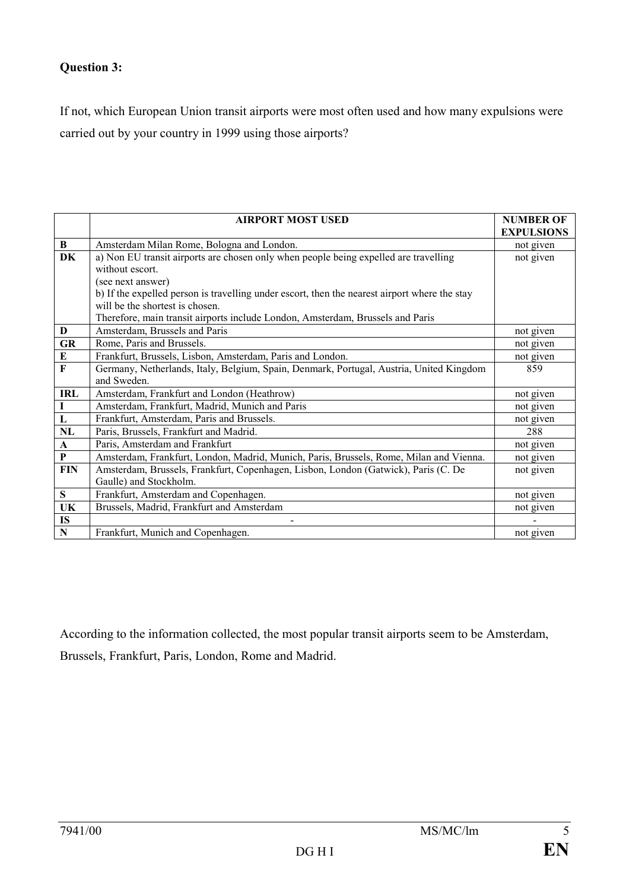## **Question 3:**

If not, which European Union transit airports were most often used and how many expulsions were carried out by your country in 1999 using those airports?

|              | <b>AIRPORT MOST USED</b>                                                                      | <b>NUMBER OF</b>  |
|--------------|-----------------------------------------------------------------------------------------------|-------------------|
|              |                                                                                               | <b>EXPULSIONS</b> |
| B            | Amsterdam Milan Rome, Bologna and London.                                                     | not given         |
| DK           | a) Non EU transit airports are chosen only when people being expelled are travelling          | not given         |
|              | without escort.                                                                               |                   |
|              | (see next answer)                                                                             |                   |
|              | b) If the expelled person is travelling under escort, then the nearest airport where the stay |                   |
|              | will be the shortest is chosen.                                                               |                   |
|              | Therefore, main transit airports include London, Amsterdam, Brussels and Paris                |                   |
| D            | Amsterdam, Brussels and Paris                                                                 | not given         |
| <b>GR</b>    | Rome, Paris and Brussels.                                                                     | not given         |
| Е            | Frankfurt, Brussels, Lisbon, Amsterdam, Paris and London.                                     | not given         |
| $\mathbf{F}$ | Germany, Netherlands, Italy, Belgium, Spain, Denmark, Portugal, Austria, United Kingdom       | 859               |
|              | and Sweden.                                                                                   |                   |
| <b>IRL</b>   | Amsterdam, Frankfurt and London (Heathrow)                                                    | not given         |
| I            | Amsterdam, Frankfurt, Madrid, Munich and Paris                                                | not given         |
| $\mathbf{L}$ | Frankfurt, Amsterdam, Paris and Brussels.                                                     | not given         |
| NL           | Paris, Brussels, Frankfurt and Madrid.                                                        | 288               |
| $\mathbf{A}$ | Paris, Amsterdam and Frankfurt                                                                | not given         |
| $\mathbf{P}$ | Amsterdam, Frankfurt, London, Madrid, Munich, Paris, Brussels, Rome, Milan and Vienna.        | not given         |
| <b>FIN</b>   | Amsterdam, Brussels, Frankfurt, Copenhagen, Lisbon, London (Gatwick), Paris (C. De            | not given         |
|              | Gaulle) and Stockholm.                                                                        |                   |
| S            | Frankfurt, Amsterdam and Copenhagen.                                                          | not given         |
| UK           | Brussels, Madrid, Frankfurt and Amsterdam                                                     | not given         |
| IS           | $\qquad \qquad \blacksquare$                                                                  |                   |
| ${\bf N}$    | Frankfurt, Munich and Copenhagen.                                                             | not given         |

According to the information collected, the most popular transit airports seem to be Amsterdam,

Brussels, Frankfurt, Paris, London, Rome and Madrid.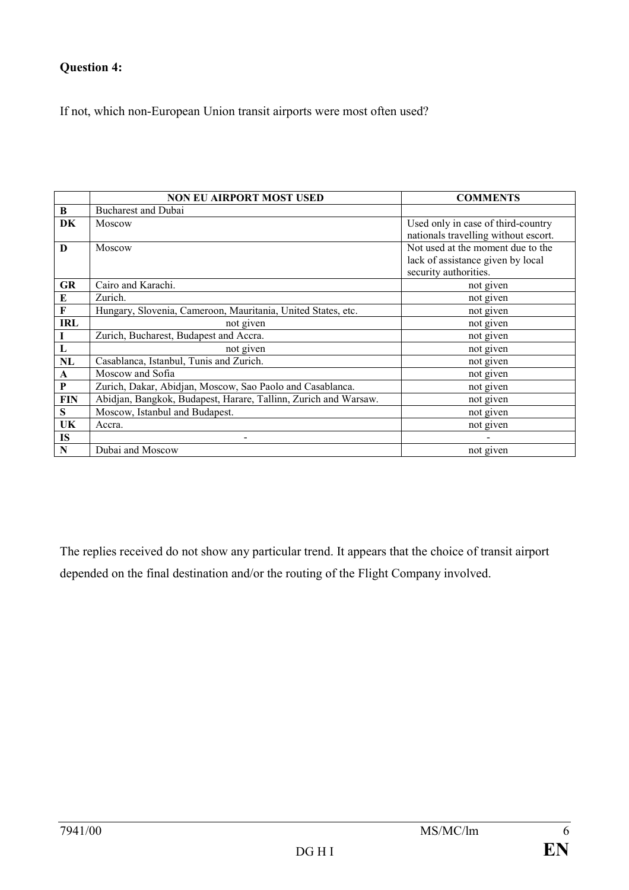## **Question 4:**

If not, which non-European Union transit airports were most often used?

|             | <b>NON EU AIRPORT MOST USED</b>                                 | <b>COMMENTS</b>                      |
|-------------|-----------------------------------------------------------------|--------------------------------------|
| B           | <b>Bucharest and Dubai</b>                                      |                                      |
| DK          | Moscow                                                          | Used only in case of third-country   |
|             |                                                                 | nationals travelling without escort. |
| D           | Moscow                                                          | Not used at the moment due to the    |
|             |                                                                 | lack of assistance given by local    |
|             |                                                                 | security authorities.                |
| <b>GR</b>   | Cairo and Karachi.                                              | not given                            |
| E           | Zurich.                                                         | not given                            |
| $\mathbf F$ | Hungary, Slovenia, Cameroon, Mauritania, United States, etc.    | not given                            |
| <b>IRL</b>  | not given                                                       | not given                            |
|             | Zurich, Bucharest, Budapest and Accra.                          | not given                            |
| L           | not given                                                       | not given                            |
| NL          | Casablanca, Istanbul, Tunis and Zurich.                         | not given                            |
| A           | Moscow and Sofia                                                | not given                            |
| P           | Zurich, Dakar, Abidjan, Moscow, Sao Paolo and Casablanca.       | not given                            |
| FIN         | Abidjan, Bangkok, Budapest, Harare, Tallinn, Zurich and Warsaw. | not given                            |
| S           | Moscow, Istanbul and Budapest.                                  | not given                            |
| UK          | Accra.                                                          | not given                            |
| <b>IS</b>   | ۰                                                               |                                      |
| N           | Dubai and Moscow                                                | not given                            |

The replies received do not show any particular trend. It appears that the choice of transit airport depended on the final destination and/or the routing of the Flight Company involved.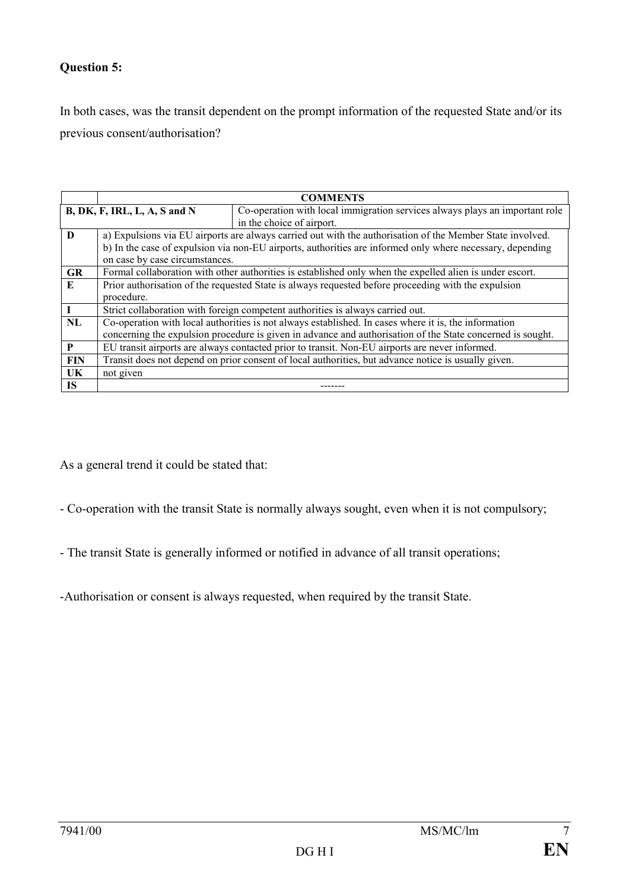#### **Question 5:**

In both cases, was the transit dependent on the prompt information of the requested State and/or its previous consent/authorisation?

|            | <b>COMMENTS</b>                                                                                            |                                                                                                           |  |
|------------|------------------------------------------------------------------------------------------------------------|-----------------------------------------------------------------------------------------------------------|--|
|            | $B$ , DK, F, IRL, L, A, S and N                                                                            | Co-operation with local immigration services always plays an important role                               |  |
|            | in the choice of airport.                                                                                  |                                                                                                           |  |
| $\bf{D}$   |                                                                                                            | a) Expulsions via EU airports are always carried out with the authorisation of the Member State involved. |  |
|            |                                                                                                            | b) In the case of expulsion via non-EU airports, authorities are informed only where necessary, depending |  |
|            | on case by case circumstances.                                                                             |                                                                                                           |  |
| <b>GR</b>  |                                                                                                            | Formal collaboration with other authorities is established only when the expelled alien is under escort.  |  |
| E          | Prior authorisation of the requested State is always requested before proceeding with the expulsion        |                                                                                                           |  |
|            | procedure.                                                                                                 |                                                                                                           |  |
|            | Strict collaboration with foreign competent authorities is always carried out.                             |                                                                                                           |  |
| NL         | Co-operation with local authorities is not always established. In cases where it is, the information       |                                                                                                           |  |
|            | concerning the expulsion procedure is given in advance and authorisation of the State concerned is sought. |                                                                                                           |  |
| P          | EU transit airports are always contacted prior to transit. Non-EU airports are never informed.             |                                                                                                           |  |
| <b>FIN</b> | Transit does not depend on prior consent of local authorities, but advance notice is usually given.        |                                                                                                           |  |
| UK         | not given                                                                                                  |                                                                                                           |  |
| <b>IS</b>  |                                                                                                            |                                                                                                           |  |

As a general trend it could be stated that:

- Co-operation with the transit State is normally always sought, even when it is not compulsory;

- The transit State is generally informed or notified in advance of all transit operations;

-Authorisation or consent is always requested, when required by the transit State.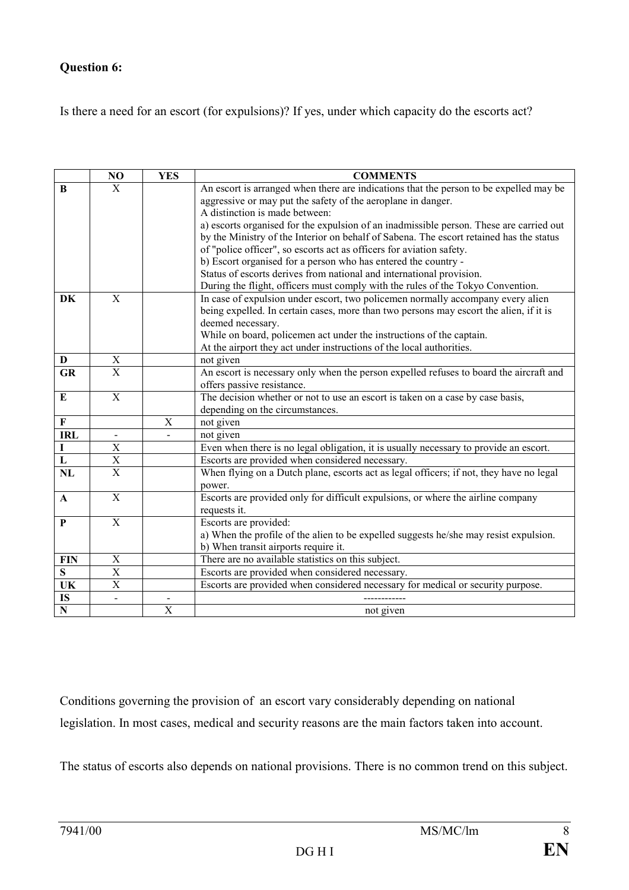### **Question 6:**

Is there a need for an escort (for expulsions)? If yes, under which capacity do the escorts act?

|                         | NO                        | <b>YES</b>                | <b>COMMENTS</b>                                                                         |
|-------------------------|---------------------------|---------------------------|-----------------------------------------------------------------------------------------|
| B                       | $\mathbf{X}$              |                           | An escort is arranged when there are indications that the person to be expelled may be  |
|                         |                           |                           | aggressive or may put the safety of the aeroplane in danger.                            |
|                         |                           |                           | A distinction is made between:                                                          |
|                         |                           |                           | a) escorts organised for the expulsion of an inadmissible person. These are carried out |
|                         |                           |                           | by the Ministry of the Interior on behalf of Sabena. The escort retained has the status |
|                         |                           |                           | of "police officer", so escorts act as officers for aviation safety.                    |
|                         |                           |                           | b) Escort organised for a person who has entered the country -                          |
|                         |                           |                           | Status of escorts derives from national and international provision.                    |
|                         |                           |                           | During the flight, officers must comply with the rules of the Tokyo Convention.         |
| DK                      | $\mathbf{X}$              |                           | In case of expulsion under escort, two policemen normally accompany every alien         |
|                         |                           |                           | being expelled. In certain cases, more than two persons may escort the alien, if it is  |
|                         |                           |                           | deemed necessary.                                                                       |
|                         |                           |                           | While on board, policemen act under the instructions of the captain.                    |
|                         |                           |                           | At the airport they act under instructions of the local authorities.                    |
| D                       | X                         |                           | not given                                                                               |
| <b>GR</b>               | $\overline{X}$            |                           | An escort is necessary only when the person expelled refuses to board the aircraft and  |
|                         |                           |                           | offers passive resistance.                                                              |
| Е                       | $\overline{X}$            |                           | The decision whether or not to use an escort is taken on a case by case basis,          |
|                         |                           |                           | depending on the circumstances.                                                         |
| $\mathbf F$             |                           | $\boldsymbol{\mathrm{X}}$ | not given                                                                               |
| <b>IRL</b>              |                           |                           | not given                                                                               |
| Ι                       | $\mathbf X$               |                           | Even when there is no legal obligation, it is usually necessary to provide an escort.   |
| ${\bf L}$               | $\overline{\text{X}}$     |                           | Escorts are provided when considered necessary.                                         |
| NL                      | $\overline{X}$            |                           | When flying on a Dutch plane, escorts act as legal officers; if not, they have no legal |
|                         |                           |                           | power.                                                                                  |
| A                       | $\mathbf X$               |                           | Escorts are provided only for difficult expulsions, or where the airline company        |
|                         |                           |                           | requests it.                                                                            |
| P                       | $\mathbf X$               |                           | Escorts are provided:                                                                   |
|                         |                           |                           | a) When the profile of the alien to be expelled suggests he/she may resist expulsion.   |
|                         |                           |                           | b) When transit airports require it.                                                    |
| <b>FIN</b>              | X                         |                           | There are no available statistics on this subject.                                      |
| S                       | $\boldsymbol{\mathrm{X}}$ |                           | Escorts are provided when considered necessary.                                         |
| UK                      | X                         |                           | Escorts are provided when considered necessary for medical or security purpose.         |
| IS                      |                           |                           |                                                                                         |
| $\overline{\mathbf{N}}$ |                           | $\overline{X}$            | not given                                                                               |

Conditions governing the provision of an escort vary considerably depending on national legislation. In most cases, medical and security reasons are the main factors taken into account.

The status of escorts also depends on national provisions. There is no common trend on this subject.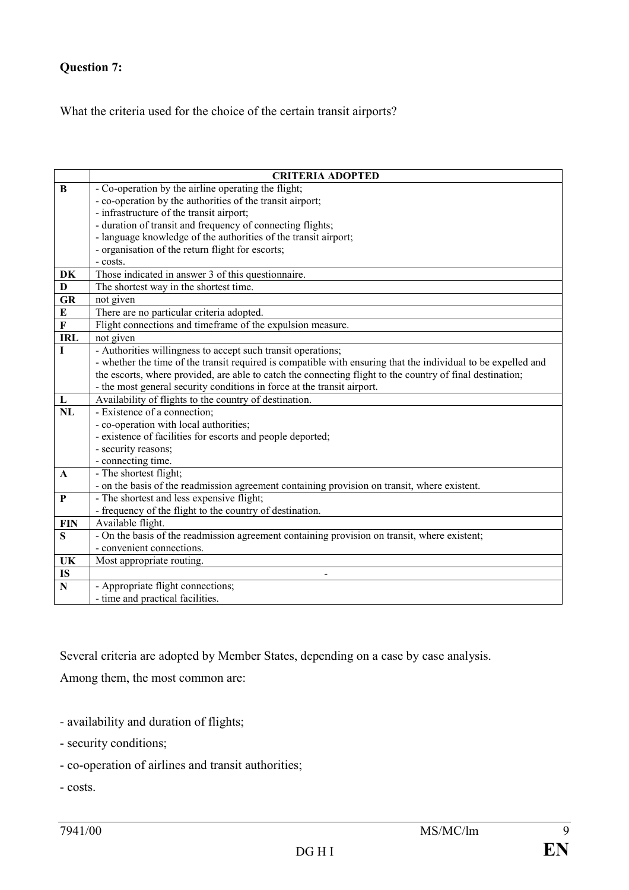## **Question 7:**

What the criteria used for the choice of the certain transit airports?

|                        | <b>CRITERIA ADOPTED</b>                                                                                       |  |
|------------------------|---------------------------------------------------------------------------------------------------------------|--|
| B                      | - Co-operation by the airline operating the flight;                                                           |  |
|                        | - co-operation by the authorities of the transit airport;                                                     |  |
|                        | - infrastructure of the transit airport;                                                                      |  |
|                        | - duration of transit and frequency of connecting flights;                                                    |  |
|                        | - language knowledge of the authorities of the transit airport;                                               |  |
|                        | - organisation of the return flight for escorts;                                                              |  |
|                        | - costs.                                                                                                      |  |
| DK                     | Those indicated in answer 3 of this questionnaire.                                                            |  |
| D                      | The shortest way in the shortest time.                                                                        |  |
| <b>GR</b>              | not given                                                                                                     |  |
| E                      | There are no particular criteria adopted.                                                                     |  |
| $\bf F$                | Flight connections and timeframe of the expulsion measure.                                                    |  |
| <b>IRL</b>             | not given                                                                                                     |  |
|                        | - Authorities willingness to accept such transit operations;                                                  |  |
|                        | - whether the time of the transit required is compatible with ensuring that the individual to be expelled and |  |
|                        | the escorts, where provided, are able to catch the connecting flight to the country of final destination;     |  |
|                        | - the most general security conditions in force at the transit airport.                                       |  |
| L                      | Availability of flights to the country of destination.                                                        |  |
| $\overline{\text{NL}}$ | - Existence of a connection;                                                                                  |  |
|                        | - co-operation with local authorities;                                                                        |  |
|                        | - existence of facilities for escorts and people deported;                                                    |  |
|                        | - security reasons;                                                                                           |  |
|                        | - connecting time.                                                                                            |  |
| $\mathbf{A}$           | - The shortest flight;                                                                                        |  |
|                        | - on the basis of the readmission agreement containing provision on transit, where existent.                  |  |
| P                      | - The shortest and less expensive flight;                                                                     |  |
|                        | - frequency of the flight to the country of destination.                                                      |  |
| <b>FIN</b>             | Available flight.                                                                                             |  |
| S                      | - On the basis of the readmission agreement containing provision on transit, where existent;                  |  |
|                        | - convenient connections.                                                                                     |  |
| UK                     | Most appropriate routing.                                                                                     |  |
| <b>IS</b>              |                                                                                                               |  |
| $\mathbf N$            | - Appropriate flight connections;                                                                             |  |
|                        | - time and practical facilities.                                                                              |  |

Several criteria are adopted by Member States, depending on a case by case analysis.

Among them, the most common are:

- availability and duration of flights;
- security conditions;
- co-operation of airlines and transit authorities;
- costs.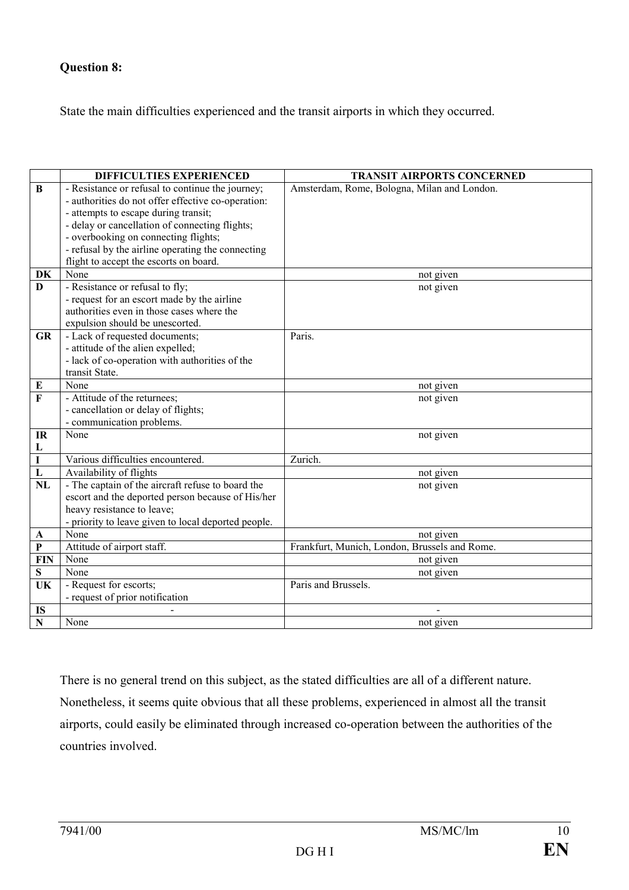### **Question 8:**

State the main difficulties experienced and the transit airports in which they occurred.

|                           | DIFFICULTIES EXPERIENCED                                         | <b>TRANSIT AIRPORTS CONCERNED</b>             |
|---------------------------|------------------------------------------------------------------|-----------------------------------------------|
| $\bf{B}$                  | - Resistance or refusal to continue the journey;                 | Amsterdam, Rome, Bologna, Milan and London.   |
|                           | - authorities do not offer effective co-operation:               |                                               |
|                           | - attempts to escape during transit;                             |                                               |
|                           | - delay or cancellation of connecting flights;                   |                                               |
|                           | - overbooking on connecting flights;                             |                                               |
|                           | - refusal by the airline operating the connecting                |                                               |
|                           | flight to accept the escorts on board.                           |                                               |
| DK                        | None                                                             | not given                                     |
| $\mathbf{D}$              | - Resistance or refusal to fly;                                  | not given                                     |
|                           | - request for an escort made by the airline                      |                                               |
|                           | authorities even in those cases where the                        |                                               |
|                           | expulsion should be unescorted.                                  |                                               |
| <b>GR</b>                 | - Lack of requested documents;                                   | Paris.                                        |
|                           | - attitude of the alien expelled;                                |                                               |
|                           | - lack of co-operation with authorities of the                   |                                               |
|                           | transit State.                                                   |                                               |
| E                         | None                                                             | not given                                     |
| F                         | - Attitude of the returnees;                                     | not given                                     |
|                           | - cancellation or delay of flights;<br>- communication problems. |                                               |
| IR                        | None                                                             | not given                                     |
| L                         |                                                                  |                                               |
| $\mathbf I$               | Various difficulties encountered.                                | Zurich.                                       |
| $\mathbf{L}$              | Availability of flights                                          | not given                                     |
| NL                        | - The captain of the aircraft refuse to board the                | not given                                     |
|                           | escort and the deported person because of His/her                |                                               |
|                           | heavy resistance to leave;                                       |                                               |
|                           | - priority to leave given to local deported people.              |                                               |
| A                         | None                                                             | not given                                     |
| $\boldsymbol{\mathrm{P}}$ | Attitude of airport staff.                                       | Frankfurt, Munich, London, Brussels and Rome. |
| <b>FIN</b>                | None                                                             | not given                                     |
| S                         | None                                                             | not given                                     |
| UK                        | - Request for escorts;                                           | Paris and Brussels.                           |
|                           | - request of prior notification                                  |                                               |
| <b>IS</b>                 |                                                                  |                                               |
| $\mathbf N$               | None                                                             | not given                                     |

There is no general trend on this subject, as the stated difficulties are all of a different nature. Nonetheless, it seems quite obvious that all these problems, experienced in almost all the transit airports, could easily be eliminated through increased co-operation between the authorities of the countries involved.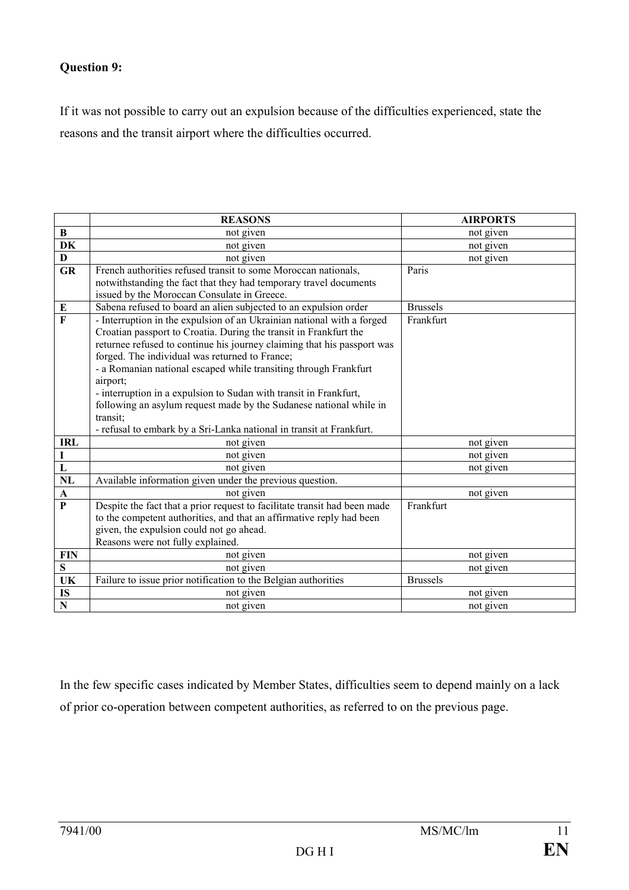#### **Question 9:**

If it was not possible to carry out an expulsion because of the difficulties experienced, state the reasons and the transit airport where the difficulties occurred.

|                         | <b>REASONS</b>                                                                                                                                                                                                                                                                                                                                                                                                                                                                                                                                                                          | <b>AIRPORTS</b> |
|-------------------------|-----------------------------------------------------------------------------------------------------------------------------------------------------------------------------------------------------------------------------------------------------------------------------------------------------------------------------------------------------------------------------------------------------------------------------------------------------------------------------------------------------------------------------------------------------------------------------------------|-----------------|
| B                       | not given                                                                                                                                                                                                                                                                                                                                                                                                                                                                                                                                                                               | not given       |
| DK                      | not given                                                                                                                                                                                                                                                                                                                                                                                                                                                                                                                                                                               | not given       |
| D                       | not given                                                                                                                                                                                                                                                                                                                                                                                                                                                                                                                                                                               | not given       |
| <b>GR</b>               | French authorities refused transit to some Moroccan nationals,<br>notwithstanding the fact that they had temporary travel documents<br>issued by the Moroccan Consulate in Greece.                                                                                                                                                                                                                                                                                                                                                                                                      | Paris           |
| E                       | Sabena refused to board an alien subjected to an expulsion order                                                                                                                                                                                                                                                                                                                                                                                                                                                                                                                        | <b>Brussels</b> |
| $\overline{\mathbf{F}}$ | - Interruption in the expulsion of an Ukrainian national with a forged<br>Croatian passport to Croatia. During the transit in Frankfurt the<br>returnee refused to continue his journey claiming that his passport was<br>forged. The individual was returned to France;<br>- a Romanian national escaped while transiting through Frankfurt<br>airport;<br>- interruption in a expulsion to Sudan with transit in Frankfurt,<br>following an asylum request made by the Sudanese national while in<br>transit;<br>- refusal to embark by a Sri-Lanka national in transit at Frankfurt. | Frankfurt       |
| <b>IRL</b>              | not given                                                                                                                                                                                                                                                                                                                                                                                                                                                                                                                                                                               | not given       |
| $\mathbf I$             | not given                                                                                                                                                                                                                                                                                                                                                                                                                                                                                                                                                                               | not given       |
| $\overline{\mathbf{L}}$ | not given                                                                                                                                                                                                                                                                                                                                                                                                                                                                                                                                                                               | not given       |
| <b>NL</b>               | Available information given under the previous question.                                                                                                                                                                                                                                                                                                                                                                                                                                                                                                                                |                 |
| $\mathbf A$             | not given                                                                                                                                                                                                                                                                                                                                                                                                                                                                                                                                                                               | not given       |
| $\mathbf{P}$            | Despite the fact that a prior request to facilitate transit had been made<br>to the competent authorities, and that an affirmative reply had been<br>given, the expulsion could not go ahead.<br>Reasons were not fully explained.                                                                                                                                                                                                                                                                                                                                                      | Frankfurt       |
| <b>FIN</b>              | not given                                                                                                                                                                                                                                                                                                                                                                                                                                                                                                                                                                               | not given       |
| S                       | not given                                                                                                                                                                                                                                                                                                                                                                                                                                                                                                                                                                               | not given       |
| UK                      | Failure to issue prior notification to the Belgian authorities                                                                                                                                                                                                                                                                                                                                                                                                                                                                                                                          | <b>Brussels</b> |
| IS                      | not given                                                                                                                                                                                                                                                                                                                                                                                                                                                                                                                                                                               | not given       |
| $\overline{\mathbf{N}}$ | not given                                                                                                                                                                                                                                                                                                                                                                                                                                                                                                                                                                               | not given       |

In the few specific cases indicated by Member States, difficulties seem to depend mainly on a lack of prior co-operation between competent authorities, as referred to on the previous page.